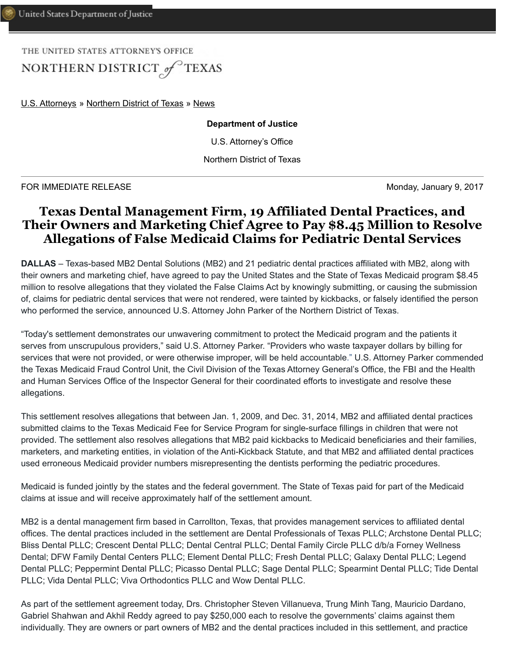THE UNITED STATES ATTORNEY'S OFFICE NORTHERN DISTRICT of TEXAS

[U.S. Attorneys](https://www.justice.gov/usao) » [Northern District of Texas](https://www.justice.gov/usao-ndtx) » [News](https://www.justice.gov/usao-ndtx/pr)

## **Department of Justice**

U.S. Attorney's Office

Northern District of Texas

FOR IMMEDIATE RELEASE **Monday, January 9, 2017** 

## **Texas Dental Management Firm, 19 Affiliated Dental Practices, and Their Owners and Marketing Chief Agree to Pay \$8.45 Million to Resolve Allegations of False Medicaid Claims for Pediatric Dental Services**

**DALLAS** – Texas-based MB2 Dental Solutions (MB2) and 21 pediatric dental practices affiliated with MB2, along with their owners and marketing chief, have agreed to pay the United States and the State of Texas Medicaid program \$8.45 million to resolve allegations that they violated the False Claims Act by knowingly submitting, or causing the submission of, claims for pediatric dental services that were not rendered, were tainted by kickbacks, or falsely identified the person who performed the service, announced U.S. Attorney John Parker of the Northern District of Texas.

"Today's settlement demonstrates our unwavering commitment to protect the Medicaid program and the patients it serves from unscrupulous providers," said U.S. Attorney Parker. "Providers who waste taxpayer dollars by billing for services that were not provided, or were otherwise improper, will be held accountable." U.S. Attorney Parker commended the Texas Medicaid Fraud Control Unit, the Civil Division of the Texas Attorney General's Office, the FBI and the Health and Human Services Office of the Inspector General for their coordinated efforts to investigate and resolve these allegations.

This settlement resolves allegations that between Jan. 1, 2009, and Dec. 31, 2014, MB2 and affiliated dental practices submitted claims to the Texas Medicaid Fee for Service Program for single-surface fillings in children that were not provided. The settlement also resolves allegations that MB2 paid kickbacks to Medicaid beneficiaries and their families, marketers, and marketing entities, in violation of the Anti-Kickback Statute, and that MB2 and affiliated dental practices used erroneous Medicaid provider numbers misrepresenting the dentists performing the pediatric procedures.

Medicaid is funded jointly by the states and the federal government. The State of Texas paid for part of the Medicaid claims at issue and will receive approximately half of the settlement amount.

MB2 is a dental management firm based in Carrollton, Texas, that provides management services to affiliated dental offices. The dental practices included in the settlement are Dental Professionals of Texas PLLC; Archstone Dental PLLC; Bliss Dental PLLC; Crescent Dental PLLC; Dental Central PLLC; Dental Family Circle PLLC d/b/a Forney Wellness Dental; DFW Family Dental Centers PLLC; Element Dental PLLC; Fresh Dental PLLC; Galaxy Dental PLLC; Legend Dental PLLC; Peppermint Dental PLLC; Picasso Dental PLLC; Sage Dental PLLC; Spearmint Dental PLLC; Tide Dental PLLC; Vida Dental PLLC; Viva Orthodontics PLLC and Wow Dental PLLC.

As part of the settlement agreement today, Drs. Christopher Steven Villanueva, Trung Minh Tang, Mauricio Dardano, Gabriel Shahwan and Akhil Reddy agreed to pay \$250,000 each to resolve the governments' claims against them individually. They are owners or part owners of MB2 and the dental practices included in this settlement, and practice